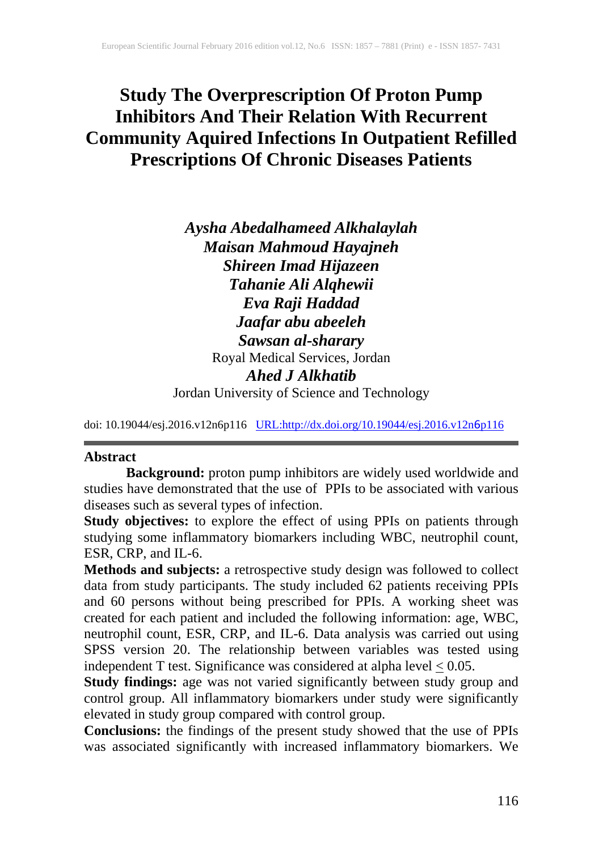# **Study The Overprescription Of Proton Pump Inhibitors And Their Relation With Recurrent Community Aquired Infections In Outpatient Refilled Prescriptions Of Chronic Diseases Patients**

*Aysha Abedalhameed Alkhalaylah Maisan Mahmoud Hayajneh Shireen Imad Hijazeen Tahanie Ali Alqhewii Eva Raji Haddad Jaafar abu abeeleh Sawsan al-sharary* Royal Medical Services, Jordan *Ahed J Alkhatib* Jordan University of Science and Technology

doi: 10.19044/esj.2016.v12n6p116 [URL:http://dx.doi.org/10.19044/esj.2016.v12n](http://dx.doi.org/10.19044/esj.2016.v12n6p116)6p116

## **Abstract**

**Background:** proton pump inhibitors are widely used worldwide and studies have demonstrated that the use of PPIs to be associated with various diseases such as several types of infection.

**Study objectives:** to explore the effect of using PPIs on patients through studying some inflammatory biomarkers including WBC, neutrophil count, ESR, CRP, and IL-6.

**Methods and subjects:** a retrospective study design was followed to collect data from study participants. The study included 62 patients receiving PPIs and 60 persons without being prescribed for PPIs. A working sheet was created for each patient and included the following information: age, WBC, neutrophil count, ESR, CRP, and IL-6. Data analysis was carried out using SPSS version 20. The relationship between variables was tested using independent T test. Significance was considered at alpha level  $\leq 0.05$ .

**Study findings:** age was not varied significantly between study group and control group. All inflammatory biomarkers under study were significantly elevated in study group compared with control group.

**Conclusions:** the findings of the present study showed that the use of PPIs was associated significantly with increased inflammatory biomarkers. We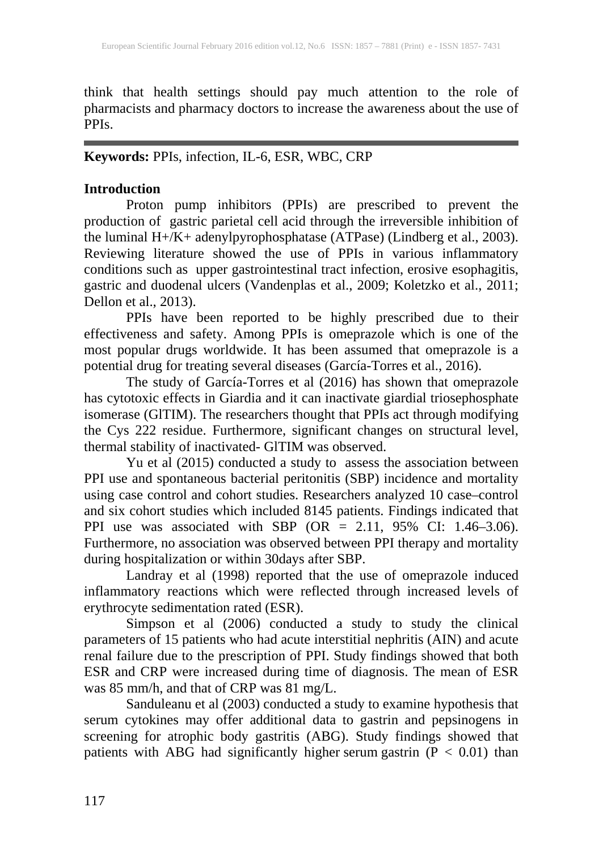think that health settings should pay much attention to the role of pharmacists and pharmacy doctors to increase the awareness about the use of PPIs.

# **Keywords:** PPIs, infection, IL-6, ESR, WBC, CRP

# **Introduction**

Proton pump inhibitors (PPIs) are prescribed to prevent the production of gastric parietal cell acid through the irreversible inhibition of the luminal H+/K+ adenylpyrophosphatase (ATPase) (Lindberg et al., 2003). Reviewing literature showed the use of PPIs in various inflammatory conditions such as upper gastrointestinal tract infection, erosive esophagitis, gastric and duodenal ulcers (Vandenplas et al., 2009; Koletzko et al., 2011; Dellon et al., 2013).

PPIs have been reported to be highly prescribed due to their effectiveness and safety. Among PPIs is omeprazole which is one of the most popular drugs worldwide. It has been assumed that omeprazole is a potential drug for treating several diseases (García-Torres et al., 2016).

The study of García-Torres et al (2016) has shown that omeprazole has cytotoxic effects in Giardia and it can inactivate giardial triosephosphate isomerase (GlTIM). The researchers thought that PPIs act through modifying the Cys 222 residue. Furthermore, significant changes on structural level, thermal stability of inactivated- GlTIM was observed.

Yu et al (2015) conducted a study to assess the association between PPI use and spontaneous bacterial peritonitis (SBP) incidence and mortality using case control and cohort studies. Researchers analyzed 10 case–control and six cohort studies which included 8145 patients. Findings indicated that PPI use was associated with SBP (OR = 2.11, 95% CI: 1.46–3.06). Furthermore, no association was observed between PPI therapy and mortality during hospitalization or within 30days after SBP.

Landray et al (1998) reported that the use of omeprazole induced inflammatory reactions which were reflected through increased levels of erythrocyte sedimentation rated (ESR).

Simpson et al (2006) conducted a study to study the clinical parameters of 15 patients who had acute interstitial nephritis (AIN) and acute renal failure due to the prescription of PPI. Study findings showed that both ESR and CRP were increased during time of diagnosis. The mean of ESR was 85 mm/h, and that of CRP was 81 mg/L.

Sanduleanu et al (2003) conducted a study to examine hypothesis that serum cytokines may offer additional data to gastrin and pepsinogens in screening for atrophic body gastritis (ABG). Study findings showed that patients with ABG had significantly higher serum gastrin  $(P < 0.01)$  than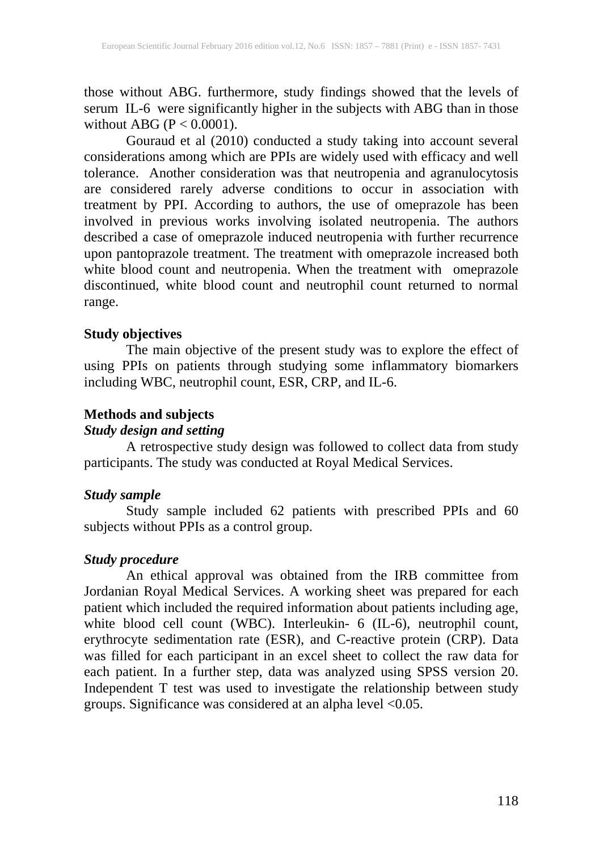those without ABG. furthermore, study findings showed that the levels of serum IL-6 were significantly higher in the subjects with ABG than in those without ABG ( $P < 0.0001$ ).

Gouraud et al (2010) conducted a study taking into account several considerations among which are PPIs are widely used with efficacy and well tolerance. Another consideration was that neutropenia and agranulocytosis are considered rarely adverse conditions to occur in association with treatment by PPI. According to authors, the use of omeprazole has been involved in previous works involving isolated neutropenia. The authors described a case of omeprazole induced neutropenia with further recurrence upon pantoprazole treatment. The treatment with omeprazole increased both white blood count and neutropenia. When the treatment with omeprazole discontinued, white blood count and neutrophil count returned to normal range.

#### **Study objectives**

The main objective of the present study was to explore the effect of using PPIs on patients through studying some inflammatory biomarkers including WBC, neutrophil count, ESR, CRP, and IL-6.

#### **Methods and subjects**

# *Study design and setting*

A retrospective study design was followed to collect data from study participants. The study was conducted at Royal Medical Services.

## *Study sample*

Study sample included 62 patients with prescribed PPIs and 60 subjects without PPIs as a control group.

## *Study procedure*

An ethical approval was obtained from the IRB committee from Jordanian Royal Medical Services. A working sheet was prepared for each patient which included the required information about patients including age, white blood cell count (WBC). Interleukin- 6 (IL-6), neutrophil count, erythrocyte sedimentation rate (ESR), and C-reactive protein (CRP). Data was filled for each participant in an excel sheet to collect the raw data for each patient. In a further step, data was analyzed using SPSS version 20. Independent T test was used to investigate the relationship between study groups. Significance was considered at an alpha level <0.05.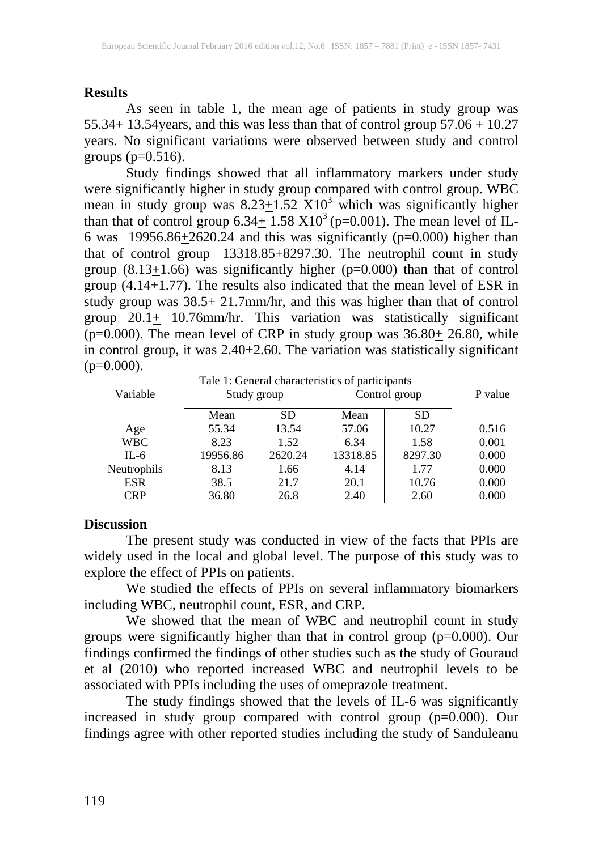#### **Results**

As seen in table 1, the mean age of patients in study group was 55.34 $\pm$  13.54 years, and this was less than that of control group 57.06  $\pm$  10.27 years. No significant variations were observed between study and control groups  $(p=0.516)$ .

Study findings showed that all inflammatory markers under study were significantly higher in study group compared with control group. WBC mean in study group was  $8.23 \pm 1.52$  X10<sup>3</sup> which was significantly higher than that of control group  $6.34 \pm 1.58 \times 10^3$  (p=0.001). The mean level of IL-6 was  $19956.86 \pm 2620.24$  and this was significantly (p=0.000) higher than that of control group  $13318.85 \pm 8297.30$ . The neutrophil count in study group  $(8.13+1.66)$  was significantly higher (p=0.000) than that of control group (4.14 $\overline{+}$ 1.77). The results also indicated that the mean level of ESR in study group was  $38.5 \pm 21.7$ mm/hr, and this was higher than that of control group  $20.1\pm$  10.76mm/hr. This variation was statistically significant (p=0.000). The mean level of CRP in study group was  $36.80<sub>±</sub> 26.80$ , while in control group, it was  $2.40+2.60$ . The variation was statistically significant  $(p=0.000)$ .

| Variable    | Tale 1: General characteristics of participants<br>Study group |           | Control group |           | P value |
|-------------|----------------------------------------------------------------|-----------|---------------|-----------|---------|
|             | Mean                                                           | <b>SD</b> | Mean          | <b>SD</b> |         |
| Age         | 55.34                                                          | 13.54     | 57.06         | 10.27     | 0.516   |
| <b>WBC</b>  | 8.23                                                           | 1.52      | 6.34          | 1.58      | 0.001   |
| $IL-6$      | 19956.86                                                       | 2620.24   | 13318.85      | 8297.30   | 0.000   |
| Neutrophils | 8.13                                                           | 1.66      | 4.14          | 1.77      | 0.000   |
| <b>ESR</b>  | 38.5                                                           | 21.7      | 20.1          | 10.76     | 0.000   |
| CRP         | 36.80                                                          | 26.8      | 2.40          | 2.60      | 0.000   |

#### **Discussion**

The present study was conducted in view of the facts that PPIs are widely used in the local and global level. The purpose of this study was to explore the effect of PPIs on patients.

We studied the effects of PPIs on several inflammatory biomarkers including WBC, neutrophil count, ESR, and CRP.

We showed that the mean of WBC and neutrophil count in study groups were significantly higher than that in control group (p=0.000). Our findings confirmed the findings of other studies such as the study of Gouraud et al (2010) who reported increased WBC and neutrophil levels to be associated with PPIs including the uses of omeprazole treatment.

The study findings showed that the levels of IL-6 was significantly increased in study group compared with control group (p=0.000). Our findings agree with other reported studies including the study of Sanduleanu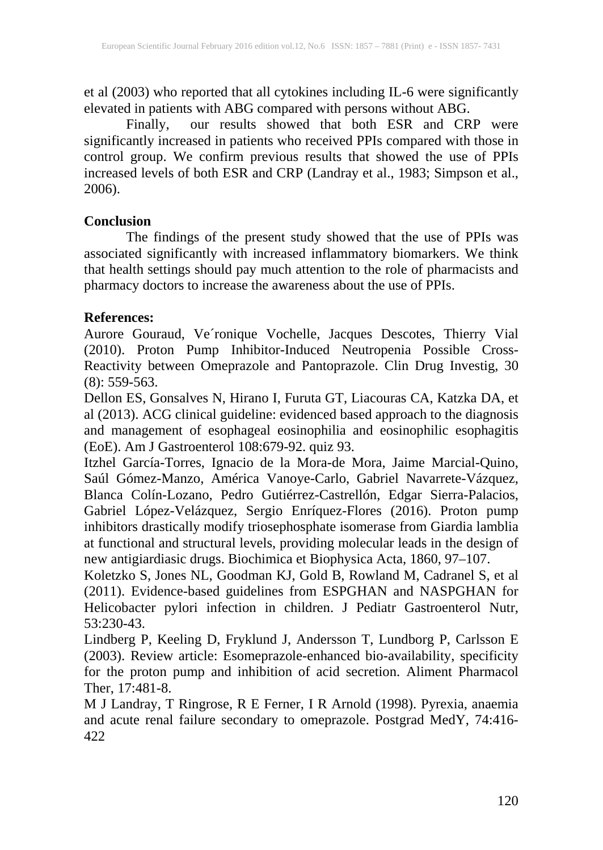et al (2003) who reported that all cytokines including IL-6 were significantly elevated in patients with ABG compared with persons without ABG.

Finally, our results showed that both ESR and CRP were significantly increased in patients who received PPIs compared with those in control group. We confirm previous results that showed the use of PPIs increased levels of both ESR and CRP (Landray et al., 1983; Simpson et al., 2006).

## **Conclusion**

The findings of the present study showed that the use of PPIs was associated significantly with increased inflammatory biomarkers. We think that health settings should pay much attention to the role of pharmacists and pharmacy doctors to increase the awareness about the use of PPIs.

#### **References:**

Aurore Gouraud, Ve´ronique Vochelle, Jacques Descotes, Thierry Vial (2010). Proton Pump Inhibitor-Induced Neutropenia Possible Cross-Reactivity between Omeprazole and Pantoprazole. Clin Drug Investig, 30 (8): 559-563.

Dellon ES, Gonsalves N, Hirano I, Furuta GT, Liacouras CA, Katzka DA, et al (2013). ACG clinical guideline: evidenced based approach to the diagnosis and management of esophageal eosinophilia and eosinophilic esophagitis (EoE). Am J Gastroenterol 108:679-92. quiz 93.

Itzhel García-Torres, Ignacio de la Mora-de Mora, Jaime Marcial-Quino, Saúl Gómez-Manzo, América Vanoye-Carlo, Gabriel Navarrete-Vázquez, Blanca Colín-Lozano, Pedro Gutiérrez-Castrellón, Edgar Sierra-Palacios, Gabriel López-Velázquez, Sergio Enríquez-Flores (2016). Proton pump inhibitors drastically modify triosephosphate isomerase from Giardia lamblia at functional and structural levels, providing molecular leads in the design of new antigiardiasic drugs. Biochimica et Biophysica Acta, 1860, 97–107.

Koletzko S, Jones NL, Goodman KJ, Gold B, Rowland M, Cadranel S, et al (2011). Evidence-based guidelines from ESPGHAN and NASPGHAN for Helicobacter pylori infection in children. J Pediatr Gastroenterol Nutr, 53:230-43.

Lindberg P, Keeling D, Fryklund J, Andersson T, Lundborg P, Carlsson E (2003). Review article: Esomeprazole-enhanced bio-availability, specificity for the proton pump and inhibition of acid secretion. Aliment Pharmacol Ther, 17:481-8.

M J Landray, T Ringrose, R E Ferner, I R Arnold (1998). Pyrexia, anaemia and acute renal failure secondary to omeprazole. Postgrad MedY, 74:416- 422